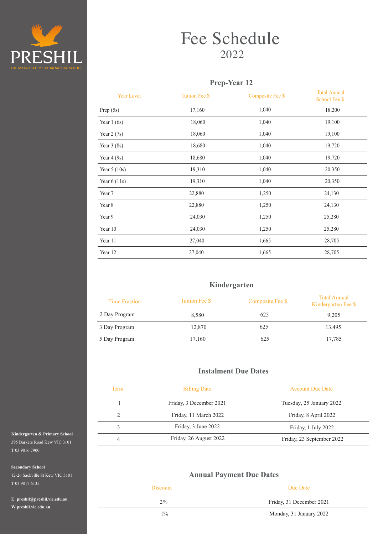

# Fee Schedule 2022

## **Prep-Year 12**

| <b>Year Level</b> | <b>Tuition Fee \$</b> | Composite Fee \$ | <b>Total Annual</b><br>School Fee \$ |
|-------------------|-----------------------|------------------|--------------------------------------|
| Prep $(5s)$       | 17,160                | 1,040            | 18,200                               |
| Year $1(6s)$      | 18,060                | 1,040            | 19,100                               |
| Year $2(7s)$      | 18,060                | 1,040            | 19,100                               |
| Year $3(8s)$      | 18,680                | 1,040            | 19,720                               |
| Year $4(9s)$      | 18,680                | 1,040            | 19,720                               |
| Year $5(10s)$     | 19,310                | 1,040            | 20,350                               |
| Year $6(11s)$     | 19,310                | 1,040            | 20,350                               |
| Year 7            | 22,880                | 1,250            | 24,130                               |
| Year 8            | 22,880                | 1,250            | 24,130                               |
| Year 9            | 24,030                | 1,250            | 25,280                               |
| Year 10           | 24,030                | 1,250            | 25,280                               |
| Year 11           | 27,040                | 1,665            | 28,705                               |
| Year 12           | 27,040                | 1,665            | 28,705                               |
|                   |                       |                  |                                      |

### **Kindergarten**

| <b>Time Fraction</b> | Tuition Fee \$ | Composite Fee \$ | <b>Total Annual</b><br>Kindergarten Fee \$ |
|----------------------|----------------|------------------|--------------------------------------------|
| 2 Day Program        | 8,580          | 625              | 9,205                                      |
| 3 Day Program        | 12,870         | 625              | 13,495                                     |
| 5 Day Program        | 17,160         | 625              | 17,785                                     |

## **Instalment Due Dates**

| <b>Term</b> | <b>Billing Date</b>     | <b>Account Due Date</b>   |
|-------------|-------------------------|---------------------------|
|             | Friday, 3 December 2021 | Tuesday, 25 January 2022  |
|             | Friday, 11 March 2022   | Friday, 8 April 2022      |
|             | Friday, 3 June 2022     | Friday, 1 July 2022       |
| 4           | Friday, 26 August 2022  | Friday, 23 September 2022 |

## **Annual Payment Due Dates**

| <b>Discount</b> | Due Date                 |  |
|-----------------|--------------------------|--|
| $2\%$           | Friday, 31 December 2021 |  |
| $1\%$           | Monday, 31 January 2022  |  |

**Kindergarten & Primary School** 395 Barkers Road Kew VIC 3101 T 03 9816 7900

**Secondary School** 

12-26 Sackville St Kew VIC 3101 T 03 9817 6135

**E preshil@preshil.vic.edu.au W preshil.vic.edu.au**